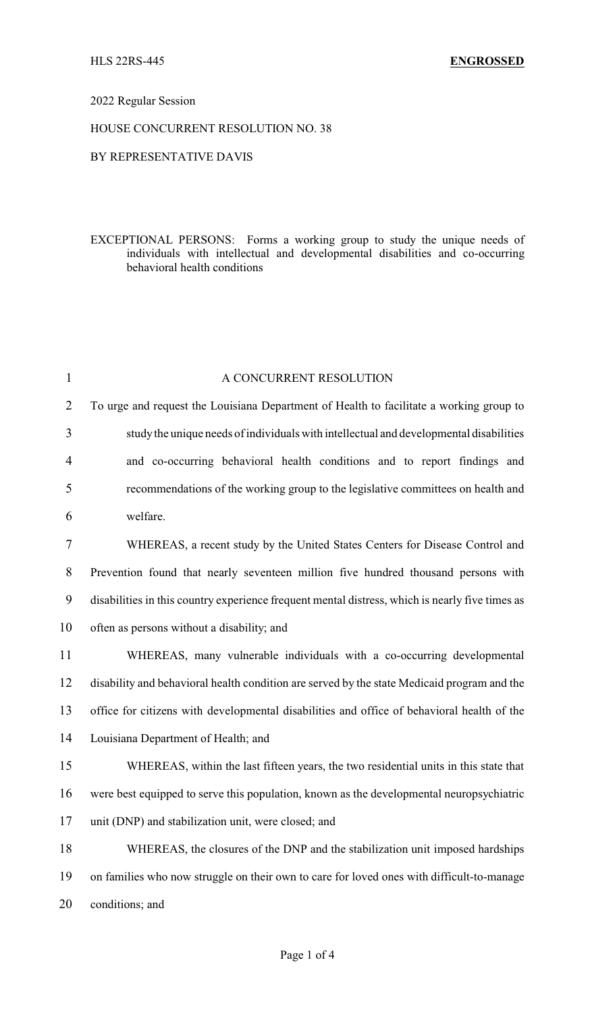# 2022 Regular Session

### HOUSE CONCURRENT RESOLUTION NO. 38

### BY REPRESENTATIVE DAVIS

EXCEPTIONAL PERSONS: Forms a working group to study the unique needs of individuals with intellectual and developmental disabilities and co-occurring behavioral health conditions

| $\mathbf{1}$   | A CONCURRENT RESOLUTION                                                                         |
|----------------|-------------------------------------------------------------------------------------------------|
| $\overline{2}$ | To urge and request the Louisiana Department of Health to facilitate a working group to         |
| 3              | study the unique needs of individuals with intellectual and developmental disabilities          |
| 4              | and co-occurring behavioral health conditions and to report findings and                        |
| 5              | recommendations of the working group to the legislative committees on health and                |
| 6              | welfare.                                                                                        |
| 7              | WHEREAS, a recent study by the United States Centers for Disease Control and                    |
| 8              | Prevention found that nearly seventeen million five hundred thousand persons with               |
| 9              | disabilities in this country experience frequent mental distress, which is nearly five times as |
| 10             | often as persons without a disability; and                                                      |
| 11             | WHEREAS, many vulnerable individuals with a co-occurring developmental                          |
| 12             | disability and behavioral health condition are served by the state Medicaid program and the     |
| 13             | office for citizens with developmental disabilities and office of behavioral health of the      |
| 14             | Louisiana Department of Health; and                                                             |
| 15             | WHEREAS, within the last fifteen years, the two residential units in this state that            |
| 16             | were best equipped to serve this population, known as the developmental neuropsychiatric        |
| 17             | unit (DNP) and stabilization unit, were closed; and                                             |
| 18             | WHEREAS, the closures of the DNP and the stabilization unit imposed hardships                   |
| 19             | on families who now struggle on their own to care for loved ones with difficult-to-manage       |
| 20             | conditions; and                                                                                 |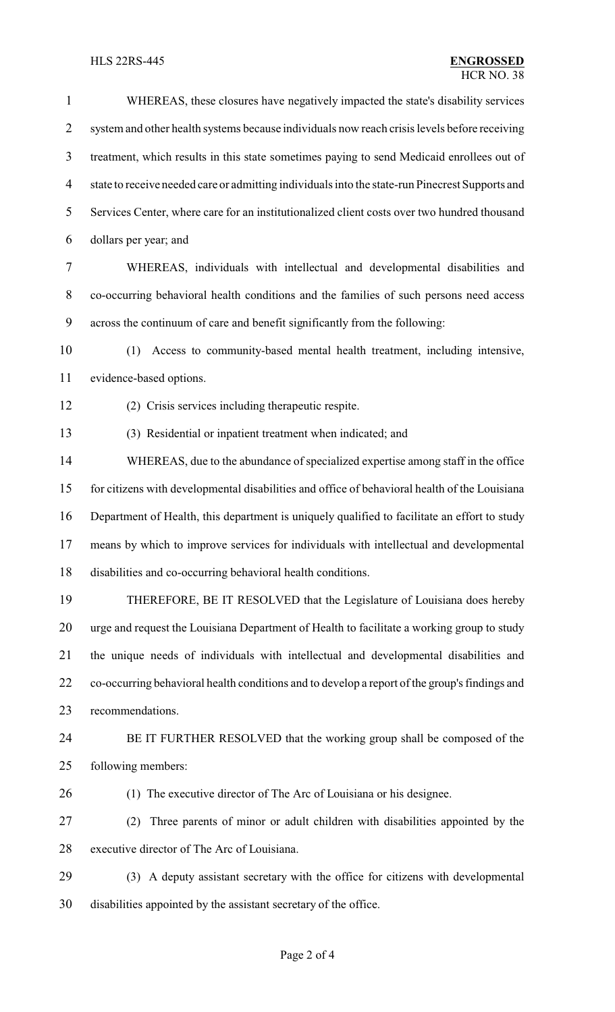| $\mathbf{1}$             | WHEREAS, these closures have negatively impacted the state's disability services                |
|--------------------------|-------------------------------------------------------------------------------------------------|
| $\overline{2}$           | system and other health systems because individuals now reach crisis levels before receiving    |
| 3                        | treatment, which results in this state sometimes paying to send Medicaid enrollees out of       |
| $\overline{\mathcal{A}}$ | state to receive needed care or admitting individuals into the state-run Pinecrest Supports and |
| 5                        | Services Center, where care for an institutionalized client costs over two hundred thousand     |
| 6                        | dollars per year; and                                                                           |
| $\tau$                   | WHEREAS, individuals with intellectual and developmental disabilities and                       |
| $8\,$                    | co-occurring behavioral health conditions and the families of such persons need access          |
| 9                        | across the continuum of care and benefit significantly from the following:                      |
| 10                       | Access to community-based mental health treatment, including intensive,<br>(1)                  |
| 11                       | evidence-based options.                                                                         |
| 12                       | (2) Crisis services including therapeutic respite.                                              |
| 13                       | (3) Residential or inpatient treatment when indicated; and                                      |
| 14                       | WHEREAS, due to the abundance of specialized expertise among staff in the office                |
| 15                       | for citizens with developmental disabilities and office of behavioral health of the Louisiana   |
| 16                       | Department of Health, this department is uniquely qualified to facilitate an effort to study    |
| 17                       | means by which to improve services for individuals with intellectual and developmental          |
| 18                       | disabilities and co-occurring behavioral health conditions.                                     |
| 19                       | THEREFORE, BE IT RESOLVED that the Legislature of Louisiana does hereby                         |
| 20                       | urge and request the Louisiana Department of Health to facilitate a working group to study      |
| 21                       | the unique needs of individuals with intellectual and developmental disabilities and            |
| 22                       | co-occurring behavioral health conditions and to develop a report of the group's findings and   |
| 23                       | recommendations.                                                                                |
| 24                       | BE IT FURTHER RESOLVED that the working group shall be composed of the                          |
| 25                       | following members:                                                                              |
| 26                       | (1) The executive director of The Arc of Louisiana or his designee.                             |
| 27                       | Three parents of minor or adult children with disabilities appointed by the<br>(2)              |
| 28                       | executive director of The Arc of Louisiana.                                                     |
| 29                       | (3) A deputy assistant secretary with the office for citizens with developmental                |
| 30                       | disabilities appointed by the assistant secretary of the office.                                |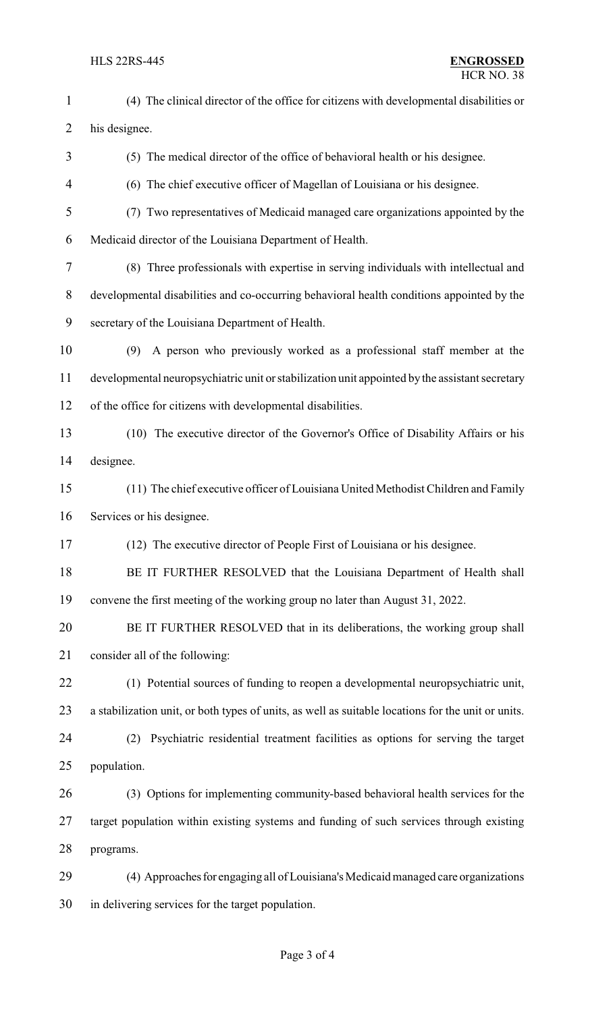HLS 22RS-445 **ENGROSSED** HCR NO. 38 (4) The clinical director of the office for citizens with developmental disabilities or his designee. (5) The medical director of the office of behavioral health or his designee. (6) The chief executive officer of Magellan of Louisiana or his designee. (7) Two representatives of Medicaid managed care organizations appointed by the Medicaid director of the Louisiana Department of Health. (8) Three professionals with expertise in serving individuals with intellectual and developmental disabilities and co-occurring behavioral health conditions appointed by the secretary of the Louisiana Department of Health. (9) A person who previously worked as a professional staff member at the developmental neuropsychiatric unit or stabilization unit appointed by the assistant secretary of the office for citizens with developmental disabilities. (10) The executive director of the Governor's Office of Disability Affairs or his designee. (11) The chief executive officer of Louisiana United Methodist Children and Family Services or his designee. (12) The executive director of People First of Louisiana or his designee. 18 BE IT FURTHER RESOLVED that the Louisiana Department of Health shall convene the first meeting of the working group no later than August 31, 2022. BE IT FURTHER RESOLVED that in its deliberations, the working group shall consider all of the following: (1) Potential sources of funding to reopen a developmental neuropsychiatric unit, a stabilization unit, or both types of units, as well as suitable locations for the unit or units. (2) Psychiatric residential treatment facilities as options for serving the target population. (3) Options for implementing community-based behavioral health services for the target population within existing systems and funding of such services through existing

programs.

29 (4) Approaches for engaging all of Louisiana's Medicaid managed care organizations in delivering services for the target population.